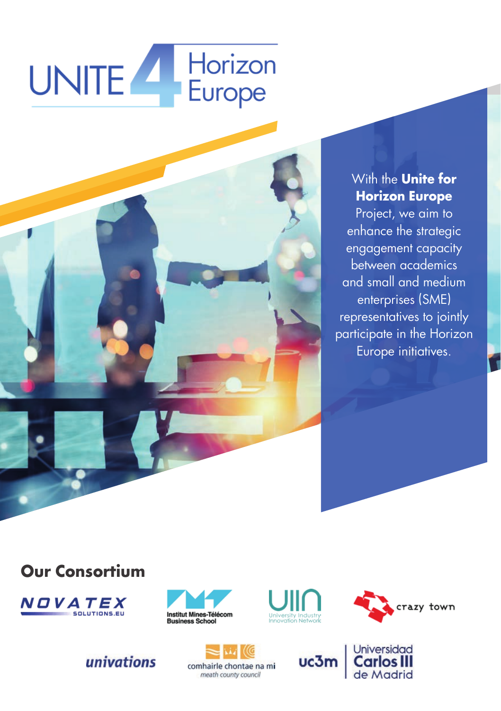# UNITE Horizon



#### With the **Unite for Horizon Europe**

Project, we aim to enhance the strategic engagement capacity between academics and small and medium enterprises (SME) representatives to jointly participate in the Horizon Europe initiatives.

#### **Our Consortium**



## univations







**Universidad** 

de Madrid

comhairle chontae na mi meath county council

uc3m